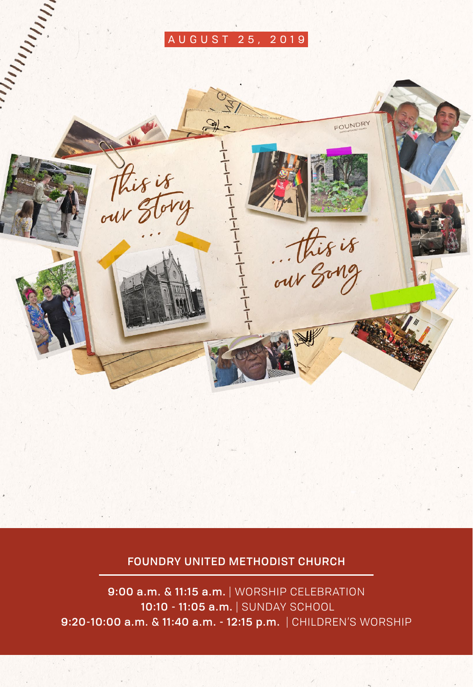#### AUGUST 25, 2019



#### FOUNDRY UNITED METHODIST CHURCH

9:00 a.m. & 11:15 a.m. | WORSHIP CELEBRATION 10:10 - 11:05 a.m. | SUNDAY SCHOOL 9:20-10:00 a.m. & 11:40 a.m. - 12:15 p.m. | CHILDREN'S WORSHIP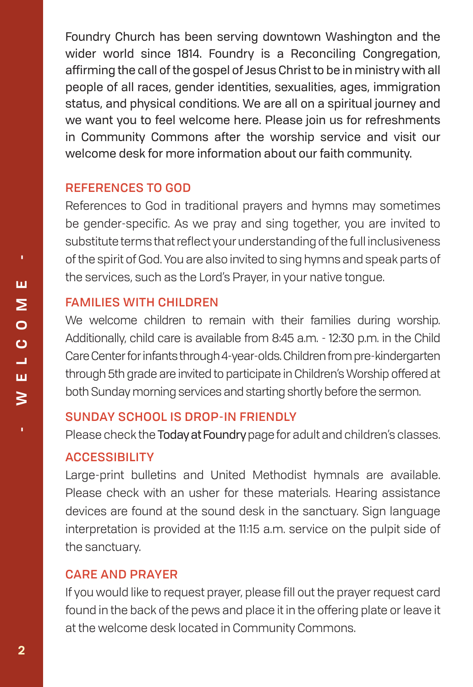Foundry Church has been serving downtown Washington and the wider world since 1814. Foundry is a Reconciling Congregation, affirming the call of the gospel of Jesus Christ to be in ministry with all people of all races, gender identities, sexualities, ages, immigration status, and physical conditions. We are all on a spiritual journey and we want you to feel welcome here. Please join us for refreshments in Community Commons after the worship service and visit our welcome desk for more information about our faith community.

#### REFERENCES TO GOD

References to God in traditional prayers and hymns may sometimes be gender-specific. As we pray and sing together, you are invited to substitute terms that reflect your understanding of the full inclusiveness of the spirit of God. You are also invited to sing hymns and speak parts of the services, such as the Lord's Prayer, in your native tongue.

#### FAMILIES WITH CHILDREN

We welcome children to remain with their families during worship. Additionally, child care is available from 8:45 a.m. - 12:30 p.m. in the Child Care Center for infants through 4-year-olds. Children from pre-kindergarten through 5th grade are invited to participate in Children's Worship offered at both Sunday morning services and starting shortly before the sermon.

#### SUNDAY SCHOOL IS DROP-IN FRIENDLY

Please check the Today at Foundrypage for adult and children's classes.

#### **ACCESSIBILITY**

Large-print bulletins and United Methodist hymnals are available. Please check with an usher for these materials. Hearing assistance devices are found at the sound desk in the sanctuary. Sign language interpretation is provided at the 11:15 a.m. service on the pulpit side of the sanctuary.

#### CARE AND PRAYER

If you would like to request prayer, please fill out the prayer request card found in the back of the pews and place it in the offering plate or leave it at the welcome desk located in Community Commons.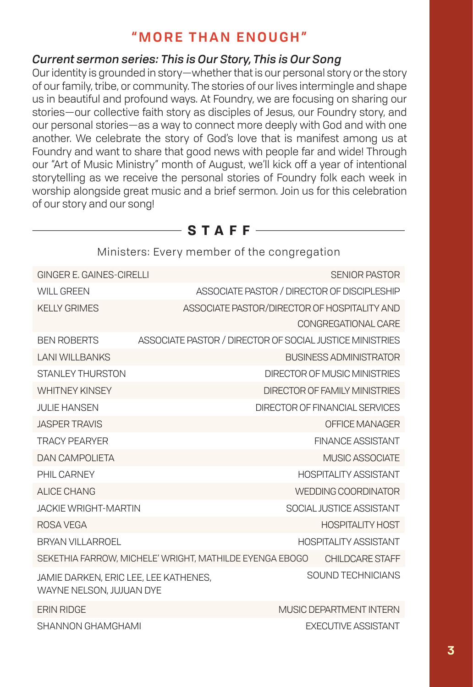#### **"MORE THAN ENOUGH"**

#### *Current sermon series: This is Our Story, This is Our Song*

Our identity is grounded in story—whether that is our personal story or the story of our family, tribe, or community. The stories of our lives intermingle and shape us in beautiful and profound ways. At Foundry, we are focusing on sharing our stories—our collective faith story as disciples of Jesus, our Foundry story, and our personal stories—as a way to connect more deeply with God and with one another. We celebrate the story of God's love that is manifest among us at Foundry and want to share that good news with people far and wide! Through our "Art of Music Ministry" month of August, we'll kick off a year of intentional storytelling as we receive the personal stories of Foundry folk each week in worship alongside great music and a brief sermon. Join us for this celebration of our story and our song!

|                                                                   |  | <u>KIIIIISLEIS, EVEI V IIIEIIIDEI OI LIIE CONGIEGALIONI</u>                 |  |
|-------------------------------------------------------------------|--|-----------------------------------------------------------------------------|--|
| GINGER E. GAINES-CIRELLI                                          |  | <b>SENIOR PASTOR</b>                                                        |  |
| <b>WILL GREEN</b>                                                 |  | ASSOCIATE PASTOR / DIRECTOR OF DISCIPLESHIP                                 |  |
| KFI I Y GRIMES                                                    |  | ASSOCIATE PASTOR/DIRECTOR OF HOSPITALITY AND                                |  |
|                                                                   |  | CONGREGATIONAL CARE                                                         |  |
| <b>BEN ROBERTS</b>                                                |  | ASSOCIATE PASTOR / DIRECTOR OF SOCIAL JUSTICE MINISTRIES                    |  |
| <b>LANI WILLBANKS</b>                                             |  | <b>BUSINESS ADMINISTRATOR</b>                                               |  |
| <b>STANLEY THURSTON</b>                                           |  | DIRECTOR OF MUSIC MINISTRIES                                                |  |
| <b>WHITNFY KINSFY</b>                                             |  | DIRECTOR OF FAMILY MINISTRIES                                               |  |
| <b>JULIE HANSEN</b>                                               |  | DIRECTOR OF FINANCIAL SERVICES                                              |  |
| <b>JASPER TRAVIS</b>                                              |  | OFFICE MANAGER                                                              |  |
| <b>TRACY PFARYFR</b>                                              |  | <b>FINANCE ASSISTANT</b>                                                    |  |
| DAN CAMPOLIFTA                                                    |  | MUSIC ASSOCIATE                                                             |  |
| PHII CARNEY                                                       |  | <b>HOSPITALITY ASSISTANT</b>                                                |  |
| ALICE CHANG                                                       |  | WEDDING COORDINATOR                                                         |  |
| <b>JACKIF WRIGHT-MARTIN</b>                                       |  | SOCIAL JUSTICE ASSISTANT                                                    |  |
| ROSA VEGA                                                         |  | <b>HOSPITALITY HOST</b>                                                     |  |
| <b>BRYAN VILLARROEL</b>                                           |  | <b>HOSPITALITY ASSISTANT</b>                                                |  |
|                                                                   |  | SEKETHIA FARROW, MICHELE' WRIGHT, MATHILDE EYENGA EBOGO<br>CHII DCARE STAFF |  |
| JAMIE DARKEN, ERIC LEE, LEE KATHENES,<br>WAYNE NELSON, JUJUAN DYE |  | SOUND TECHNICIANS                                                           |  |
| <b>FRIN RIDGE</b>                                                 |  | MUSIC DEPARTMENT INTERN                                                     |  |
| SHANNON GHAMGHAMI                                                 |  | <b>EXECUTIVE ASSISTANT</b>                                                  |  |

#### Ministers: Every member of the congregation

— **STAFF** –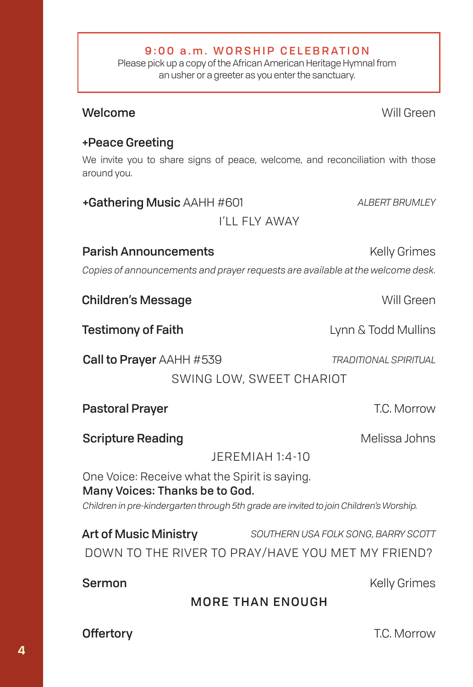# Parish Announcements **Example 20 Kelly Grimes** Children's Message Will Green Offertory **Community Community Community Community** T.C. Morrow **Scripture Reading Community Community Community Community Community Community Community Community Community Community Community Community Community Community Community Community Community Community Community Community Com**  JEREMIAH 1:4-10 **Testimony of Faith Lynn & Todd Mullins** Sermon Kelly Grimes MORE THAN ENOUGH Pastoral Prayer **National Prayer Accord Prayer** T.C. Morrow Call to Prayer AAHH #539 *TRADITIONAL SPIRITUAL* SWING LOW, SWEET CHARIOT

#### +Peace Greeting

We invite you to share signs of peace, welcome, and reconciliation with those around you.

## Welcome Will Green

+Gathering Music AAHH #601 *ALBERT BRUMLEY* I'LL FLY AWAY

*Copies of announcements and prayer requests are available at the welcome desk.*

One Voice: Receive what the Spirit is saying. Many Voices: Thanks be to God. *Children in pre-kindergarten through 5th grade are invited to join Children's Worship.*

Art of Music Ministry *SOUTHERN USA FOLK SONG, BARRY SCOTT* DOWN TO THE RIVER TO PRAY/HAVE YOU MET MY FRIEND?

#### 9:00 a.m. WORSHIP CELEBRATION

Please pick up a copy of the African American Heritage Hymnal from an usher or a greeter as you enter the sanctuary.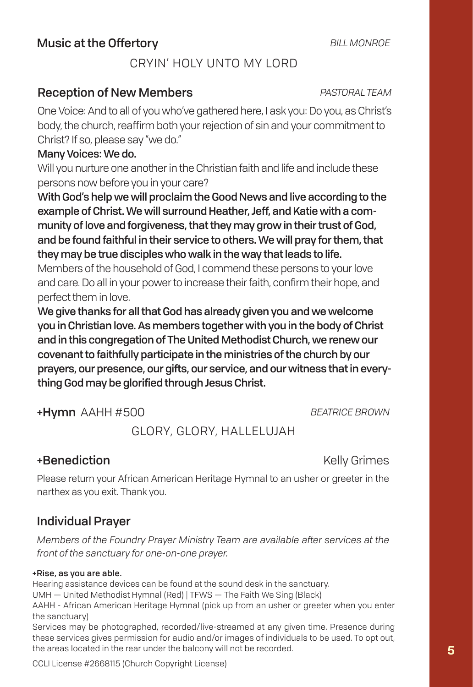#### CRYIN' HOLY UNTO MY LORD

#### Reception of New Members *PASTORAL TEAM*

One Voice: And to all of you who've gathered here, I ask you: Do you, as Christ's body, the church, reaffirm both your rejection of sin and your commitment to Christ? If so, please say "we do."

#### Many Voices: We do.

Will you nurture one another in the Christian faith and life and include these persons now before you in your care?

With God's help we will proclaim the Good News and live according to the example of Christ. We will surround Heather, Jeff, and Katie with a community of love and forgiveness, that they may grow in their trust of God, and be found faithful in their service to others. We will pray for them, that they may be true disciples who walk in the way that leads to life.

Members of the household of God, I commend these persons to your love and care. Do all in your power to increase their faith, confirm their hope, and perfect them in love.

We give thanks for all that God has already given you and we welcome you in Christian love. As members together with you in the body of Christ and in this congregation of The United Methodist Church, we renew our covenant to faithfully participate in the ministries of the church by our prayers, our presence, our gifts, our service, and our witness that in everything God may be glorified through Jesus Christ.

+Hymn AAHH #500 *BEATRICE BROWN*

#### GLORY, GLORY, HALLELUJAH

#### +Benediction Kelly Grimes

Please return your African American Heritage Hymnal to an usher or greeter in the narthex as you exit. Thank you.

#### Individual Prayer

*Members of the Foundry Prayer Ministry Team are available after services at the front of the sanctuary for one-on-one prayer.*

#### +Rise, as you are able.

Hearing assistance devices can be found at the sound desk in the sanctuary.

UMH — United Methodist Hymnal (Red) | TFWS — The Faith We Sing (Black)

AAHH - African American Heritage Hymnal (pick up from an usher or greeter when you enter the sanctuary)

Services may be photographed, recorded/live-streamed at any given time. Presence during these services gives permission for audio and/or images of individuals to be used. To opt out, the areas located in the rear under the balcony will not be recorded.

CCLI License #2668115 (Church Copyright License)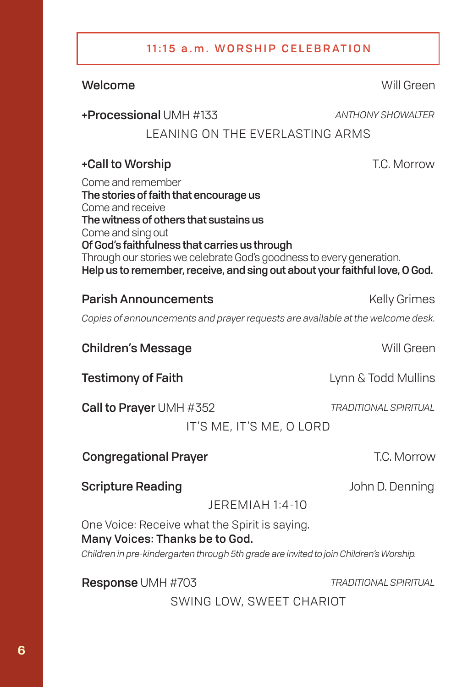#### 11:15 a.m. WORSHIP CELEBRATION

#### Welcome Will Green

#### +Processional UMH #133 *ANTHONY SHOWALTER*

#### LEANING ON THE EVERLASTING ARMS

#### +Call to Worship T.C. Morrow

Come and remember The stories of faith that encourage us Come and receive The witness of others that sustains us Come and sing out Of God's faithfulness that carries us through Through our stories we celebrate God's goodness to every generation. Help us to remember, receive, and sing out about your faithful love, O God.

#### **Parish Announcements** Manual Communication of Kelly Grimes

*Copies of announcements and prayer requests are available at the welcome desk.*

#### **Children's Message Will Green**

**Testimony of Faith Lynn & Todd Mullins** 

Call to Prayer UMH #352 *TRADITIONAL SPIRITUAL*

IT'S ME, IT'S ME, O LORD

#### **Congregational Prayer Congregational Prayer CONSET ASSESS**

#### **Scripture Reading Community Community** John D. Denning

JEREMIAH 1:4-10

One Voice: Receive what the Spirit is saying. Many Voices: Thanks be to God.

*Children in pre-kindergarten through 5th grade are invited to join Children's Worship.*

Response UMH #703 *TRADITIONAL SPIRITUAL*

SWING LOW, SWEET CHARIOT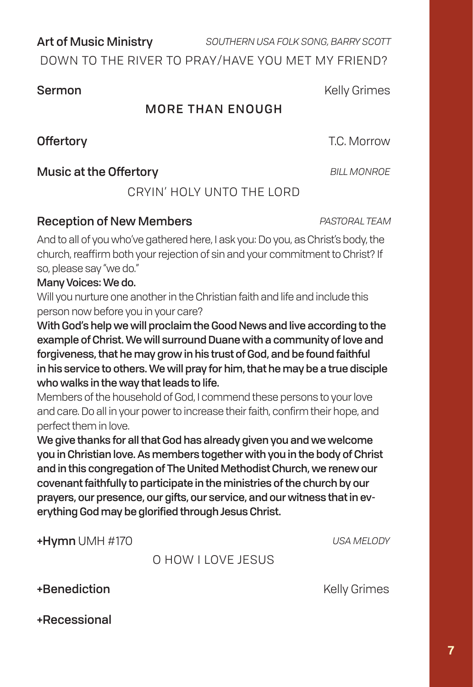Art of Music Ministry *SOUTHERN USA FOLK SONG, BARRY SCOTT*

DOWN TO THE RIVER TO PRAY/HAVE YOU MET MY FRIEND?

#### MORE THAN ENOUGH

Offertory **Contract Contract Contract Contract Contract Contract Contract Contract Contract Contract Contract Contract Contract Contract Contract Contract Contract Contract Contract Contract Contract Contract Contract Cont** 

#### **Music at the Offertory BILL MONROE**

CRYIN' HOLY UNTO THE LORD

#### Reception of New Members *PASTORAL TEAM*

And to all of you who've gathered here, I ask you: Do you, as Christ's body, the church, reaffirm both your rejection of sin and your commitment to Christ? If so, please say "we do."

#### Many Voices: We do.

Will you nurture one another in the Christian faith and life and include this person now before you in your care?

With God's help we will proclaim the Good News and live according to the example of Christ. We will surround Duane with a community of love and forgiveness, that he may grow in his trust of God, and be found faithful in his service to others. We will pray for him, that he may be a true disciple who walks in the way that leads to life.

Members of the household of God, I commend these persons to your love and care. Do all in your power to increase their faith, confirm their hope, and perfect them in love.

We give thanks for all that God has already given you and we welcome you in Christian love. As members together with you in the body of Christ and in this congregation of The United Methodist Church, we renew our covenant faithfully to participate in the ministries of the church by our prayers, our presence, our gifts, our service, and our witness that in everything God may be glorified through Jesus Christ.

+Hymn UMH #170 *USA MELODY*

#### O HOW I LOVE JESUS

#### +Benediction Kelly Grimes

**7**

+Recessional

**Sermon** Kelly Grimes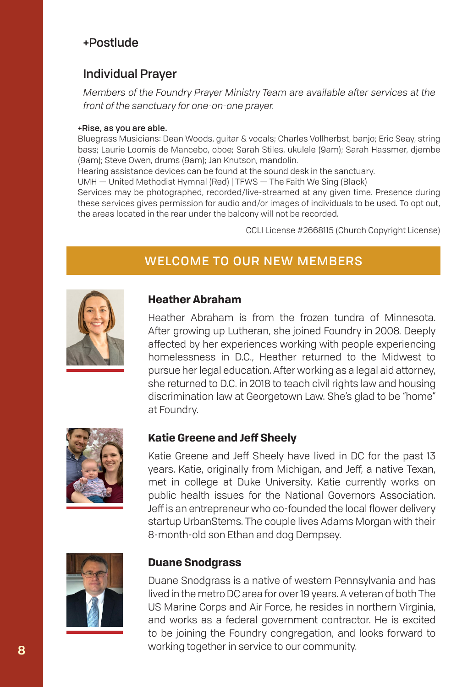#### +Postlude

#### Individual Prayer

*Members of the Foundry Prayer Ministry Team are available after services at the front of the sanctuary for one-on-one prayer.*

#### +Rise, as you are able.

Bluegrass Musicians: Dean Woods, guitar & vocals; Charles Vollherbst, banjo; Eric Seay, string bass; Laurie Loomis de Mancebo, oboe; Sarah Stiles, ukulele (9am); Sarah Hassmer, djembe (9am); Steve Owen, drums (9am); Jan Knutson, mandolin.

Hearing assistance devices can be found at the sound desk in the sanctuary.

UMH — United Methodist Hymnal (Red) | TFWS — The Faith We Sing (Black)

Services may be photographed, recorded/live-streamed at any given time. Presence during these services gives permission for audio and/or images of individuals to be used. To opt out, the areas located in the rear under the balcony will not be recorded.

CCLI License #2668115 (Church Copyright License)

#### WELCOME TO OUR NEW MEMBERS



#### **Heather Abraham**

Heather Abraham is from the frozen tundra of Minnesota. After growing up Lutheran, she joined Foundry in 2008. Deeply affected by her experiences working with people experiencing homelessness in D.C., Heather returned to the Midwest to pursue her legal education. After working as a legal aid attorney, she returned to D.C. in 2018 to teach civil rights law and housing discrimination law at Georgetown Law. She's glad to be "home" at Foundry.



#### **Katie Greene and Jeff Sheely**

Katie Greene and Jeff Sheely have lived in DC for the past 13 years. Katie, originally from Michigan, and Jeff, a native Texan, met in college at Duke University. Katie currently works on public health issues for the National Governors Association. Jeff is an entrepreneur who co-founded the local flower delivery startup UrbanStems. The couple lives Adams Morgan with their 8-month-old son Ethan and dog Dempsey.



#### **Duane Snodgrass**

Duane Snodgrass is a native of western Pennsylvania and has lived in the metro DC area for over 19 years. A veteran of both The US Marine Corps and Air Force, he resides in northern Virginia, and works as a federal government contractor. He is excited to be joining the Foundry congregation, and looks forward to working together in service to our community.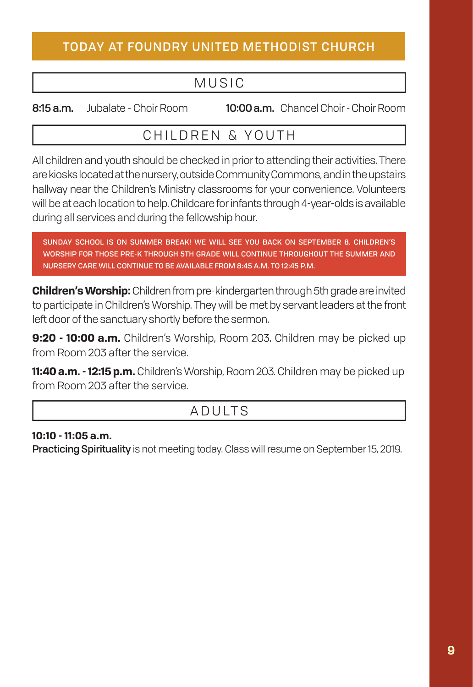#### TODAY AT FOUNDRY UNITED METHODIST CHURCH

### MUSIC

8:15 a.m. Jubalate - Choir Room 10:00 a.m. Chancel Choir - Choir Room

#### CHILDREN & YOUTH

All children and youth should be checked in prior to attending their activities. There are kiosks located at the nursery, outside Community Commons, and in the upstairs hallway near the Children's Ministry classrooms for your convenience. Volunteers will be at each location to help. Childcare for infants through 4-year-olds is available during all services and during the fellowship hour.

SUNDAY SCHOOL IS ON SUMMER BREAK! WE WILL SEE YOU BACK ON SEPTEMBER 8. CHILDREN'S WORSHIP FOR THOSE PRE-K THROUGH 5TH GRADE WILL CONTINUE THROUGHOUT THE SUMMER AND NURSERY CARE WILL CONTINUE TO BE AVAILABLE FROM 8:45 A.M. TO 12:45 P.M.

**Children's Worship:** Children from pre-kindergarten through 5th grade are invited to participate in Children's Worship. They will be met by servant leaders at the front left door of the sanctuary shortly before the sermon.

**9:20 - 10:00 a.m.** Children's Worship, Room 203. Children may be picked up from Room 203 after the service.

**11:40 a.m. - 12:15 p.m.** Children's Worship, Room 203. Children may be picked up from Room 203 after the service.

### ADULTS

#### **10:10 - 11:05 a.m.**

Practicing Spirituality is not meeting today. Class will resume on September 15, 2019.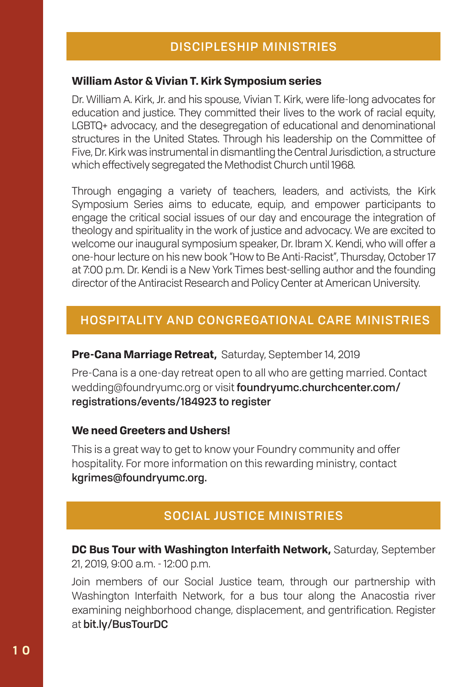#### **William Astor & Vivian T. Kirk Symposium series**

Dr. William A. Kirk, Jr. and his spouse, Vivian T. Kirk, were life-long advocates for education and justice. They committed their lives to the work of racial equity, LGBTQ+ advocacy, and the desegregation of educational and denominational structures in the United States. Through his leadership on the Committee of Five, Dr. Kirk was instrumental in dismantling the Central Jurisdiction, a structure which effectively segregated the Methodist Church until 1968.

Through engaging a variety of teachers, leaders, and activists, the Kirk Symposium Series aims to educate, equip, and empower participants to engage the critical social issues of our day and encourage the integration of theology and spirituality in the work of justice and advocacy. We are excited to welcome our inaugural symposium speaker, Dr. Ibram X. Kendi, who will offer a one-hour lecture on his new book "How to Be Anti-Racist", Thursday, October 17 at 7:00 p.m. Dr. Kendi is a New York Times best-selling author and the founding director of the Antiracist Research and Policy Center at American University.

#### HOSPITALITY AND CONGREGATIONAL CARE MINISTRIES

**Pre-Cana Marriage Retreat,** Saturday, September 14, 2019

Pre-Cana is a one-day retreat open to all who are getting married. Contact wedding@foundryumc.org or visit foundryumc.churchcenter.com/ registrations/events/184923 to register

#### **We need Greeters and Ushers!**

This is a great way to get to know your Foundry community and offer hospitality. For more information on this rewarding ministry, contact kgrimes@foundryumc.org.

#### SOCIAL JUSTICE MINISTRIES

**DC Bus Tour with Washington Interfaith Network, Saturday, September** 21, 2019, 9:00 a.m. - 12:00 p.m.

Join members of our Social Justice team, through our partnership with Washington Interfaith Network, for a bus tour along the Anacostia river examining neighborhood change, displacement, and gentrification. Register at bit.ly/BusTourDC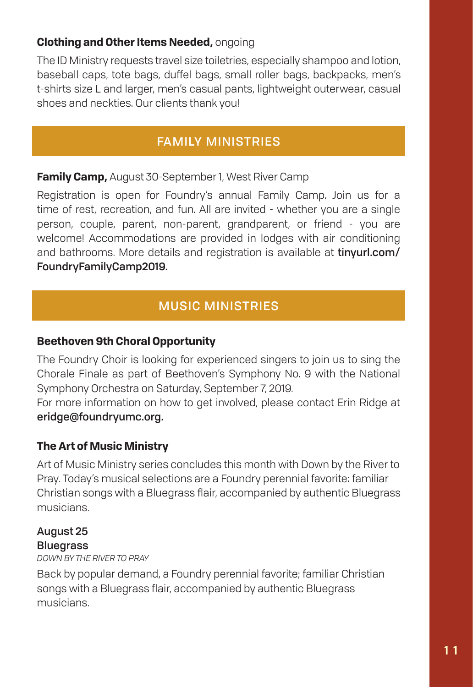#### **Clothing and Other Items Needed,** ongoing

The ID Ministry requests travel size toiletries, especially shampoo and lotion, baseball caps, tote bags, duffel bags, small roller bags, backpacks, men's t-shirts size L and larger, men's casual pants, lightweight outerwear, casual shoes and neckties. Our clients thank you!

#### FAMILY MINISTRIES

#### **Family Camp,** August 30-September 1, West River Camp

Registration is open for Foundry's annual Family Camp. Join us for a time of rest, recreation, and fun. All are invited - whether you are a single person, couple, parent, non-parent, grandparent, or friend - you are welcome! Accommodations are provided in lodges with air conditioning and bathrooms. More details and registration is available at tinyurl.com/ FoundryFamilyCamp2019.

#### MUSIC MINISTRIES

#### **Beethoven 9th Choral Opportunity**

The Foundry Choir is looking for experienced singers to join us to sing the Chorale Finale as part of Beethoven's Symphony No. 9 with the National Symphony Orchestra on Saturday, September 7, 2019.

For more information on how to get involved, please contact Erin Ridge at eridge@foundryumc.org.

#### **The Art of Music Ministry**

Art of Music Ministry series concludes this month with Down by the River to Pray. Today's musical selections are a Foundry perennial favorite: familiar Christian songs with a Bluegrass flair, accompanied by authentic Bluegrass musicians.

#### August 25 Bluegrass

*DOWN BY THE RIVER TO PRAY*

Back by popular demand, a Foundry perennial favorite; familiar Christian songs with a Bluegrass flair, accompanied by authentic Bluegrass musicians.